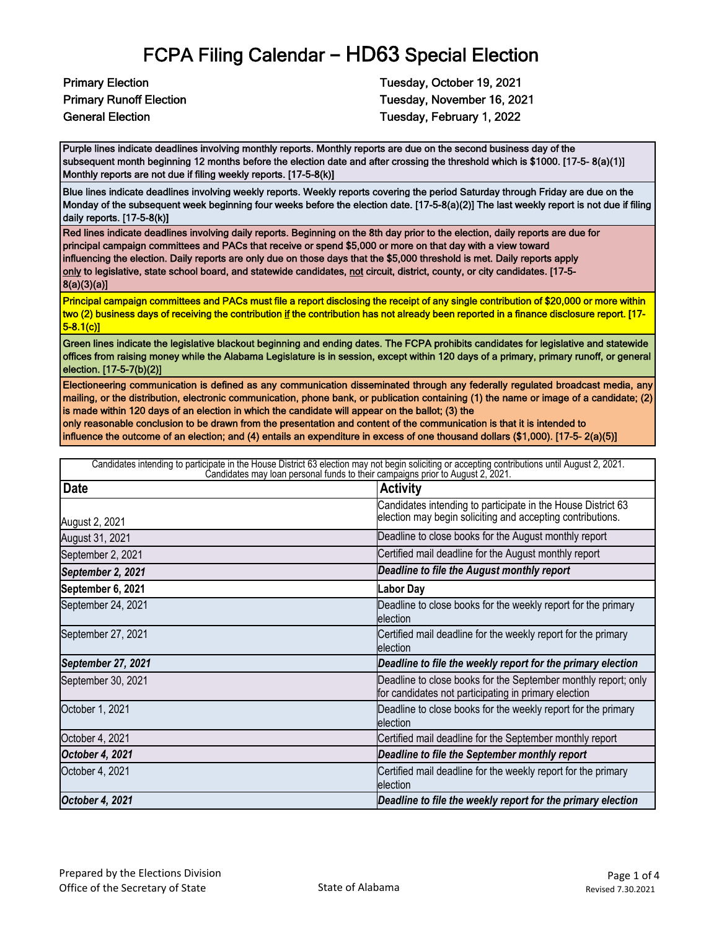**Primary Election Tuesday, October 19, 2021** Primary Runoff Election Tuesday, November 16, 2021 General Election Tuesday, February 1, 2022

Purple lines indicate deadlines involving monthly reports. Monthly reports are due on the second business day of the subsequent month beginning 12 months before the election date and after crossing the threshold which is \$1000. [17-5- 8(a)(1)] Monthly reports are not due if filing weekly reports. [17-5-8(k)]

Blue lines indicate deadlines involving weekly reports. Weekly reports covering the period Saturday through Friday are due on the Monday of the subsequent week beginning four weeks before the election date. [17-5-8(a)(2)] The last weekly report is not due if filing daily reports. [17-5-8(k)]

Red lines indicate deadlines involving daily reports. Beginning on the 8th day prior to the election, daily reports are due for principal campaign committees and PACs that receive or spend \$5,000 or more on that day with a view toward influencing the election. Daily reports are only due on those days that the \$5,000 threshold is met. Daily reports apply only to legislative, state school board, and statewide candidates, not circuit, district, county, or city candidates. [17-5-8(a)(3)(a)]

Principal campaign committees and PACs must file a report disclosing the receipt of any single contribution of \$20,000 or more within two (2) business days of receiving the contribution if the contribution has not already been reported in a finance disclosure report. [17- 5-8.1(c)]

Green lines indicate the legislative blackout beginning and ending dates. The FCPA prohibits candidates for legislative and statewide offices from raising money while the Alabama Legislature is in session, except within 120 days of a primary, primary runoff, or general election. [17-5-7(b)(2)]

Electioneering communication is defined as any communication disseminated through any federally regulated broadcast media, any mailing, or the distribution, electronic communication, phone bank, or publication containing (1) the name or image of a candidate; (2) is made within 120 days of an election in which the candidate will appear on the ballot; (3) the

only reasonable conclusion to be drawn from the presentation and content of the communication is that it is intended to influence the outcome of an election; and (4) entails an expenditure in excess of one thousand dollars (\$1,000). [17-5- 2(a)(5)]

| Candidates intending to participate in the House District 63 election may not begin soliciting or accepting contributions until August 2, 2021.<br>Candidates may loan personal funds to their campaigns prior to August 2, 2021. |                                                                                                                            |  |
|-----------------------------------------------------------------------------------------------------------------------------------------------------------------------------------------------------------------------------------|----------------------------------------------------------------------------------------------------------------------------|--|
| <b>Date</b>                                                                                                                                                                                                                       | <b>Activity</b>                                                                                                            |  |
| August 2, 2021                                                                                                                                                                                                                    | Candidates intending to participate in the House District 63<br>election may begin soliciting and accepting contributions. |  |
| August 31, 2021                                                                                                                                                                                                                   | Deadline to close books for the August monthly report                                                                      |  |
| September 2, 2021                                                                                                                                                                                                                 | Certified mail deadline for the August monthly report                                                                      |  |
| September 2, 2021                                                                                                                                                                                                                 | Deadline to file the August monthly report                                                                                 |  |
| September 6, 2021                                                                                                                                                                                                                 | <b>Labor Day</b>                                                                                                           |  |
| September 24, 2021                                                                                                                                                                                                                | Deadline to close books for the weekly report for the primary<br>election                                                  |  |
| September 27, 2021                                                                                                                                                                                                                | Certified mail deadline for the weekly report for the primary<br>election                                                  |  |
| September 27, 2021                                                                                                                                                                                                                | Deadline to file the weekly report for the primary election                                                                |  |
| September 30, 2021                                                                                                                                                                                                                | Deadline to close books for the September monthly report; only<br>for candidates not participating in primary election     |  |
| October 1, 2021                                                                                                                                                                                                                   | Deadline to close books for the weekly report for the primary<br>election                                                  |  |
| October 4, 2021                                                                                                                                                                                                                   | Certified mail deadline for the September monthly report                                                                   |  |
| October 4, 2021                                                                                                                                                                                                                   | Deadline to file the September monthly report                                                                              |  |
| October 4, 2021                                                                                                                                                                                                                   | Certified mail deadline for the weekly report for the primary<br>election                                                  |  |
| October 4, 2021                                                                                                                                                                                                                   | Deadline to file the weekly report for the primary election                                                                |  |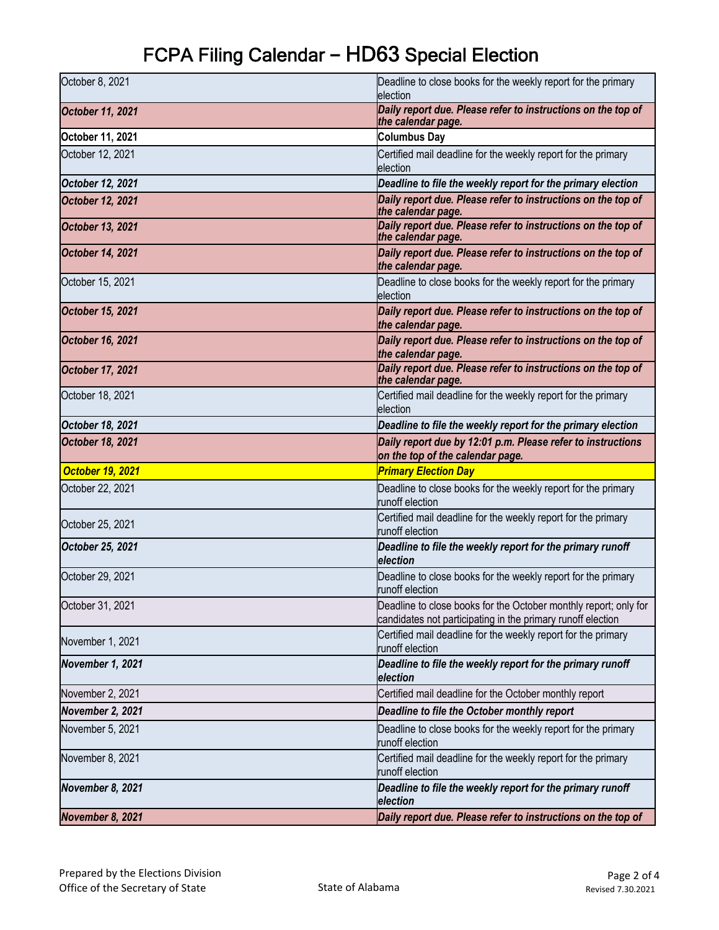| October 8, 2021         | Deadline to close books for the weekly report for the primary<br>election                                                       |
|-------------------------|---------------------------------------------------------------------------------------------------------------------------------|
| <b>October 11, 2021</b> | Daily report due. Please refer to instructions on the top of<br>the calendar page.                                              |
| October 11, 2021        | <b>Columbus Day</b>                                                                                                             |
| October 12, 2021        | Certified mail deadline for the weekly report for the primary<br>election                                                       |
| October 12, 2021        | Deadline to file the weekly report for the primary election                                                                     |
| <b>October 12, 2021</b> | Daily report due. Please refer to instructions on the top of<br>the calendar page.                                              |
| <b>October 13, 2021</b> | Daily report due. Please refer to instructions on the top of<br>the calendar page.                                              |
| <b>October 14, 2021</b> | Daily report due. Please refer to instructions on the top of<br>the calendar page.                                              |
| October 15, 2021        | Deadline to close books for the weekly report for the primary<br>election                                                       |
| <b>October 15, 2021</b> | Daily report due. Please refer to instructions on the top of<br>the calendar page.                                              |
| <b>October 16, 2021</b> | Daily report due. Please refer to instructions on the top of<br>the calendar page.                                              |
| October 17, 2021        | Daily report due. Please refer to instructions on the top of<br>the calendar page.                                              |
| October 18, 2021        | Certified mail deadline for the weekly report for the primary<br>election                                                       |
| October 18, 2021        | Deadline to file the weekly report for the primary election                                                                     |
| <b>October 18, 2021</b> | Daily report due by 12:01 p.m. Please refer to instructions<br>on the top of the calendar page.                                 |
| <b>October 19, 2021</b> | <b>Primary Election Day</b>                                                                                                     |
| October 22, 2021        | Deadline to close books for the weekly report for the primary<br>runoff election                                                |
| October 25, 2021        | Certified mail deadline for the weekly report for the primary<br>runoff election                                                |
| October 25, 2021        | Deadline to file the weekly report for the primary runoff<br>election                                                           |
| October 29, 2021        | Deadline to close books for the weekly report for the primary<br>runoff election                                                |
| October 31, 2021        | Deadline to close books for the October monthly report; only for<br>candidates not participating in the primary runoff election |
| November 1, 2021        | Certified mail deadline for the weekly report for the primary<br>runoff election                                                |
| November 1, 2021        | Deadline to file the weekly report for the primary runoff<br>election                                                           |
| November 2, 2021        | Certified mail deadline for the October monthly report                                                                          |
| November 2, 2021        | Deadline to file the October monthly report                                                                                     |
| November 5, 2021        | Deadline to close books for the weekly report for the primary<br>runoff election                                                |
| November 8, 2021        | Certified mail deadline for the weekly report for the primary<br>runoff election                                                |
|                         |                                                                                                                                 |
| November 8, 2021        | Deadline to file the weekly report for the primary runoff<br>election                                                           |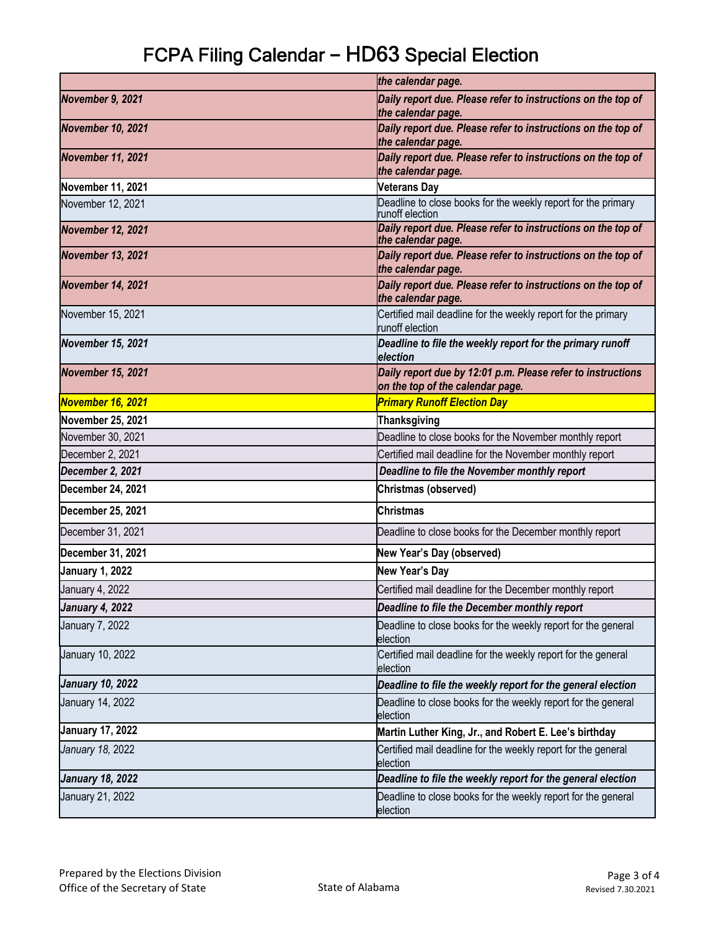|                          | the calendar page.                                                                              |
|--------------------------|-------------------------------------------------------------------------------------------------|
| November 9, 2021         | Daily report due. Please refer to instructions on the top of                                    |
|                          | the calendar page.                                                                              |
| <b>November 10, 2021</b> | Daily report due. Please refer to instructions on the top of<br>the calendar page.              |
| <b>November 11, 2021</b> | Daily report due. Please refer to instructions on the top of<br>the calendar page.              |
| November 11, 2021        | <b>Veterans Day</b>                                                                             |
| November 12, 2021        | Deadline to close books for the weekly report for the primary<br>runoff election                |
| <b>November 12, 2021</b> | Daily report due. Please refer to instructions on the top of<br>the calendar page.              |
| <b>November 13, 2021</b> | Daily report due. Please refer to instructions on the top of<br>the calendar page.              |
| <b>November 14, 2021</b> | Daily report due. Please refer to instructions on the top of<br>the calendar page.              |
| November 15, 2021        | Certified mail deadline for the weekly report for the primary<br>runoff election                |
| <b>November 15, 2021</b> | Deadline to file the weekly report for the primary runoff<br>election                           |
| <b>November 15, 2021</b> | Daily report due by 12:01 p.m. Please refer to instructions<br>on the top of the calendar page. |
| November 16, 2021        | <b>Primary Runoff Election Day</b>                                                              |
| November 25, 2021        | <b>Thanksgiving</b>                                                                             |
| November 30, 2021        | Deadline to close books for the November monthly report                                         |
| December 2, 2021         | Certified mail deadline for the November monthly report                                         |
| December 2, 2021         | Deadline to file the November monthly report                                                    |
| December 24, 2021        | Christmas (observed)                                                                            |
| December 25, 2021        | <b>Christmas</b>                                                                                |
| December 31, 2021        | Deadline to close books for the December monthly report                                         |
| December 31, 2021        | New Year's Day (observed)                                                                       |
| <b>January 1, 2022</b>   | New Year's Day                                                                                  |
| January 4, 2022          | Certified mail deadline for the December monthly report                                         |
| <b>January 4, 2022</b>   | Deadline to file the December monthly report                                                    |
| January 7, 2022          | Deadline to close books for the weekly report for the general<br>election                       |
| January 10, 2022         | Certified mail deadline for the weekly report for the general<br>election                       |
| <b>January 10, 2022</b>  | Deadline to file the weekly report for the general election                                     |
| January 14, 2022         | Deadline to close books for the weekly report for the general<br>election                       |
| <b>January 17, 2022</b>  | Martin Luther King, Jr., and Robert E. Lee's birthday                                           |
| January 18, 2022         | Certified mail deadline for the weekly report for the general<br>election                       |
| <b>January 18, 2022</b>  | Deadline to file the weekly report for the general election                                     |
| January 21, 2022         | Deadline to close books for the weekly report for the general<br>election                       |